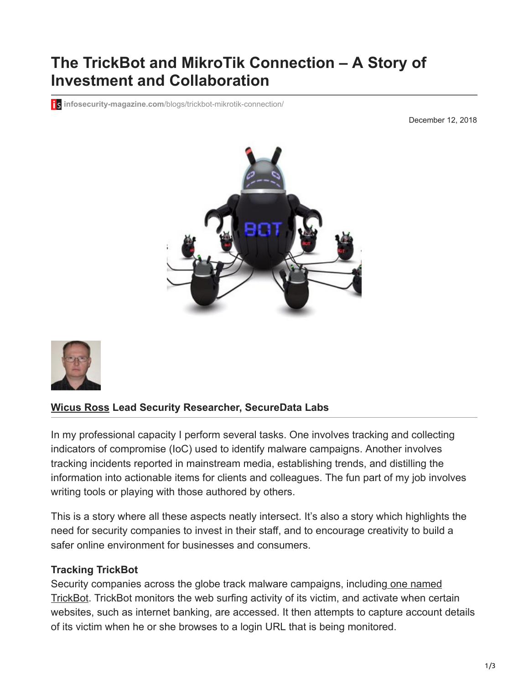# **The TrickBot and MikroTik Connection – A Story of Investment and Collaboration**

**is infosecurity-magazine.com[/blogs/trickbot-mikrotik-connection/](https://www.infosecurity-magazine.com/blogs/trickbot-mikrotik-connection/)** 

December 12, 2018





### **[Wicus Ross](https://www.infosecurity-magazine.com/profile/wicus-ross/) Lead Security Researcher, SecureData Labs**

In my professional capacity I perform several tasks. One involves tracking and collecting indicators of compromise (IoC) used to identify malware campaigns. Another involves tracking incidents reported in mainstream media, establishing trends, and distilling the information into actionable items for clients and colleagues. The fun part of my job involves writing tools or playing with those authored by others.

This is a story where all these aspects neatly intersect. It's also a story which highlights the need for security companies to invest in their staff, and to encourage creativity to build a safer online environment for businesses and consumers.

### **Tracking TrickBot**

[Security companies across the globe track malware campaigns, including one named](https://malpedia.caad.fkie.fraunhofer.de/details/win.trickbot) TrickBot. TrickBot monitors the web surfing activity of its victim, and activate when certain websites, such as internet banking, are accessed. It then attempts to capture account details of its victim when he or she browses to a login URL that is being monitored.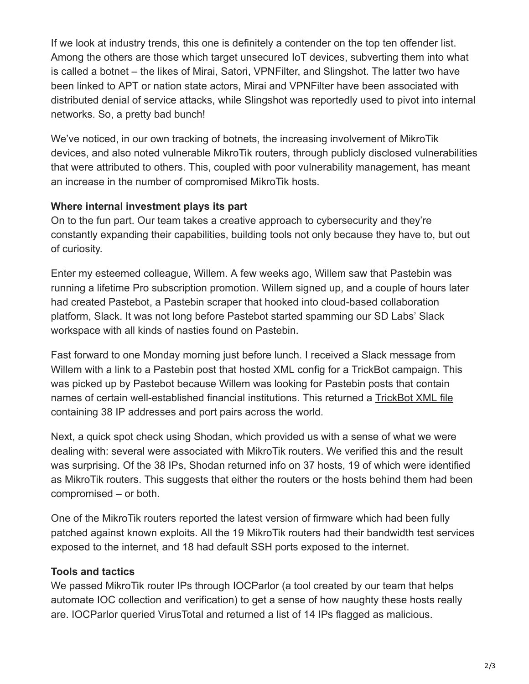If we look at industry trends, this one is definitely a contender on the top ten offender list. Among the others are those which target unsecured IoT devices, subverting them into what is called a botnet – the likes of Mirai, Satori, VPNFilter, and Slingshot. The latter two have been linked to APT or nation state actors, Mirai and VPNFilter have been associated with distributed denial of service attacks, while Slingshot was reportedly used to pivot into internal networks. So, a pretty bad bunch!

We've noticed, in our own tracking of botnets, the increasing involvement of MikroTik devices, and also noted vulnerable MikroTik routers, through publicly disclosed vulnerabilities that were attributed to others. This, coupled with poor vulnerability management, has meant an increase in the number of compromised MikroTik hosts.

# **Where internal investment plays its part**

On to the fun part. Our team takes a creative approach to cybersecurity and they're constantly expanding their capabilities, building tools not only because they have to, but out of curiosity.

Enter my esteemed colleague, Willem. A few weeks ago, Willem saw that Pastebin was running a lifetime Pro subscription promotion. Willem signed up, and a couple of hours later had created Pastebot, a Pastebin scraper that hooked into cloud-based collaboration platform, Slack. It was not long before Pastebot started spamming our SD Labs' Slack workspace with all kinds of nasties found on Pastebin.

Fast forward to one Monday morning just before lunch. I received a Slack message from Willem with a link to a Pastebin post that hosted XML config for a TrickBot campaign. This was picked up by Pastebot because Willem was looking for Pastebin posts that contain names of certain well-established financial institutions. This returned a [TrickBot XML file](https://pastebin.com/raw/EZk38uw8) containing 38 IP addresses and port pairs across the world.

Next, a quick spot check using Shodan, which provided us with a sense of what we were dealing with: several were associated with MikroTik routers. We verified this and the result was surprising. Of the 38 IPs, Shodan returned info on 37 hosts, 19 of which were identified as MikroTik routers. This suggests that either the routers or the hosts behind them had been compromised – or both.

One of the MikroTik routers reported the latest version of firmware which had been fully patched against known exploits. All the 19 MikroTik routers had their bandwidth test services exposed to the internet, and 18 had default SSH ports exposed to the internet.

# **Tools and tactics**

We passed MikroTik router IPs through IOCParlor (a tool created by our team that helps automate IOC collection and verification) to get a sense of how naughty these hosts really are. IOCParlor queried VirusTotal and returned a list of 14 IPs flagged as malicious.